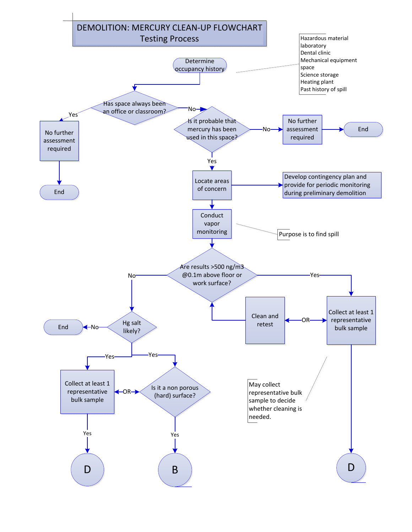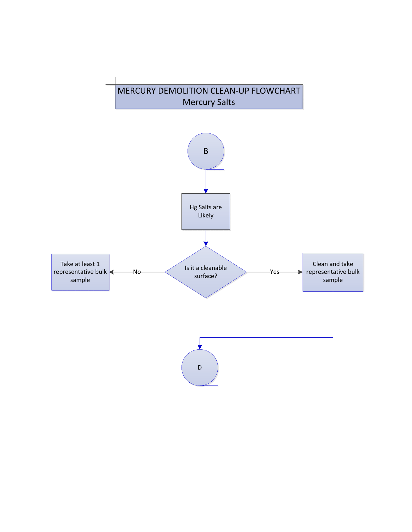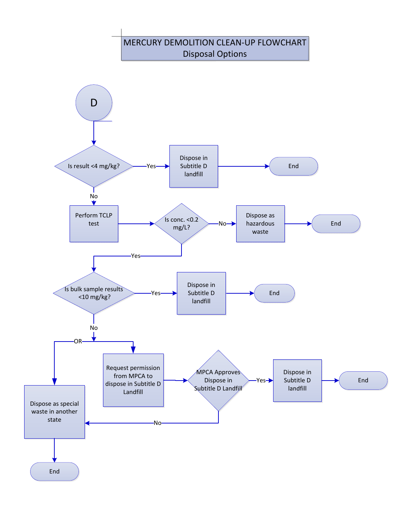## MERCURY DEMOLITION CLEAN-UP FLOWCHART Disposal Options

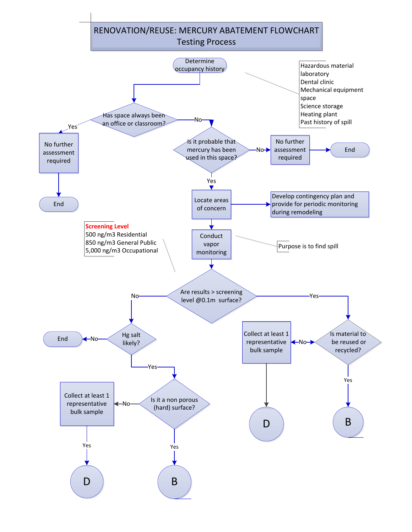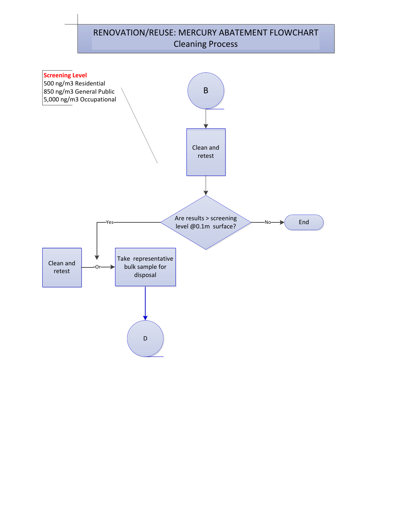## B RENOVATION/REUSE: MERCURY ABATEMENT FLOWCHART Cleaning Process Clean and retest Are results > screening **Screening Level** 500 ng/m3 Residential 850 ng/m3 General Public 5,000 ng/m3 Occupational